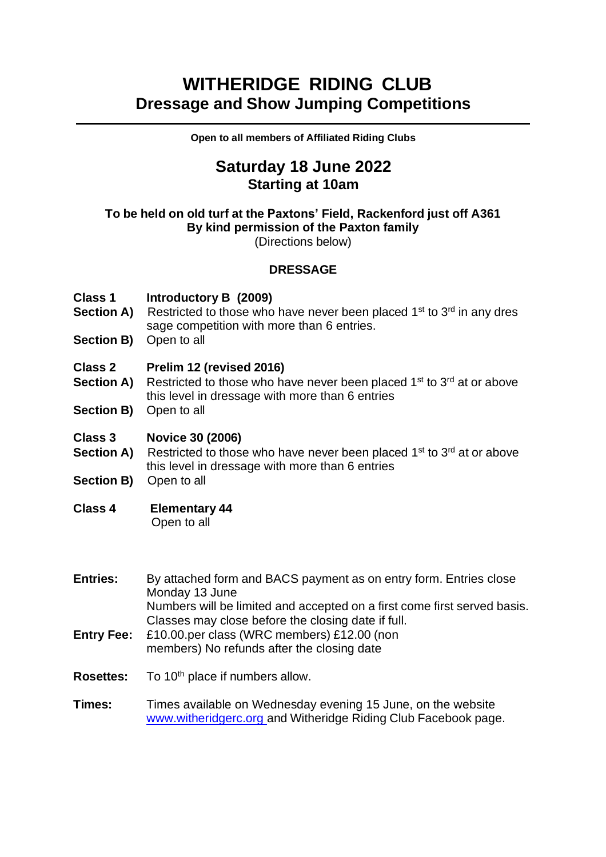# **WITHERIDGE RIDING CLUB Dressage and Show Jumping Competitions**

**Open to all members of Affiliated Riding Clubs**

## **Saturday 18 June 2022 Starting at 10am**

### **To be held on old turf at the Paxtons' Field, Rackenford just off A361 By kind permission of the Paxton family**

(Directions below)

### **DRESSAGE**

#### **Class 1 Introductory B (2009)**

- **Section A)** Restricted to those who have never been placed 1<sup>st</sup> to 3<sup>rd</sup> in any dres sage competition with more than 6 entries.
- **Section B)** Open to all

#### **Class 2 Prelim 12 (revised 2016)**

- **Section A)** Restricted to those who have never been placed 1<sup>st</sup> to 3<sup>rd</sup> at or above this level in dressage with more than 6 entries
- **Section B)** Open to all

#### **Class 3 Novice 30 (2006)**

- **Section A)** Restricted to those who have never been placed 1<sup>st</sup> to 3<sup>rd</sup> at or above this level in dressage with more than 6 entries
- **Section B)** Open to all

### **Class 4 Elementary 44**

Open to all

- **Entries:** By attached form and BACS payment as on entry form. Entries close Monday 13 June Numbers will be limited and accepted on a first come first served basis. Classes may close before the closing date if full.
- **Entry Fee:** £10.00.per class (WRC members) £12.00 (non members) No refunds after the closing date
- **Rosettes:** To 10<sup>th</sup> place if numbers allow.
- **Times:** Times available on Wednesday evening 15 June, on the website [www.witheridgerc.org](http://www.witheridgerc.org/) and Witheridge Riding Club Facebook page.